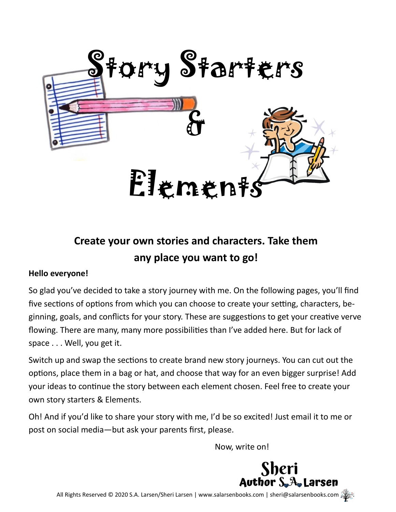

# **Create your own stories and characters. Take them any place you want to go!**

## **Hello everyone!**

So glad you've decided to take a story journey with me. On the following pages, you'll find five sections of options from which you can choose to create your setting, characters, beginning, goals, and conflicts for your story. These are suggestions to get your creative verve flowing. There are many, many more possibilities than I've added here. But for lack of space . . . Well, you get it.

Switch up and swap the sections to create brand new story journeys. You can cut out the options, place them in a bag or hat, and choose that way for an even bigger surprise! Add your ideas to continue the story between each element chosen. Feel free to create your own story starters & Elements.

Oh! And if you'd like to share your story with me, I'd be so excited! Just email it to me or post on social media—but ask your parents first, please.

Now, write on!

Sheri<br>Author S.A. Larsen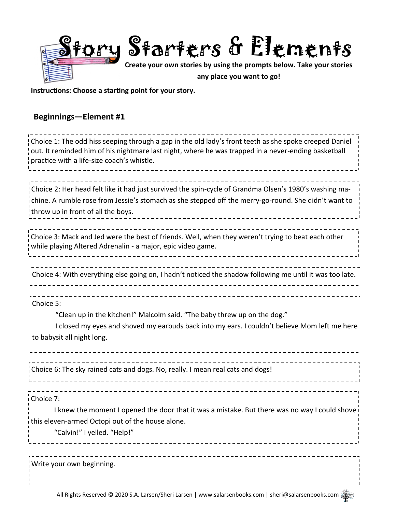

**Instructions: Choose a starting point for your story.**

## **Beginnings—Element #1**

| Choice 1: The odd hiss seeping through a gap in the old lady's front teeth as she spoke creeped Daniel<br>out. It reminded him of his nightmare last night, where he was trapped in a never-ending basketball<br>practice with a life-size coach's whistle. |
|-------------------------------------------------------------------------------------------------------------------------------------------------------------------------------------------------------------------------------------------------------------|
| Choice 2: Her head felt like it had just survived the spin-cycle of Grandma Olsen's 1980's washing ma-<br>chine. A rumble rose from Jessie's stomach as she stepped off the merry-go-round. She didn't want to<br>throw up in front of all the boys.        |
| Choice 3: Mack and Jed were the best of friends. Well, when they weren't trying to beat each other<br>while playing Altered Adrenalin - a major, epic video game.                                                                                           |
| Choice 4: With everything else going on, I hadn't noticed the shadow following me until it was too late. $\frac{1}{2}$                                                                                                                                      |
| Choice 5:<br>"Clean up in the kitchen!" Malcolm said. "The baby threw up on the dog."<br>I closed my eyes and shoved my earbuds back into my ears. I couldn't believe Mom left me here<br>to babysit all night long.                                        |
| Choice 6: The sky rained cats and dogs. No, really. I mean real cats and dogs!                                                                                                                                                                              |
| Choice 7:<br>I knew the moment I opened the door that it was a mistake. But there was no way I could shove<br>i this eleven-armed Octopi out of the house alone.<br>"Calvin!" I yelled. "Help!"                                                             |
| Write your own beginning.                                                                                                                                                                                                                                   |
| All Rights Reserved © 2020 S.A. Larsen/Sheri Larsen   www.salarsenbooks.com   sheri@salarsenbooks.com                                                                                                                                                       |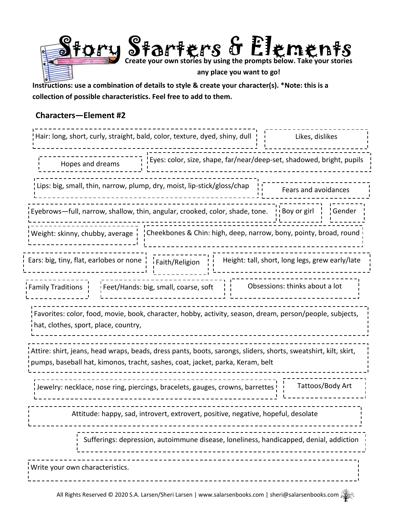

**Instructions: use a combination of details to style & create your character(s). \*Note: this is a collection of possible characteristics. Feel free to add to them.**

### **Characters—Element #2**

| Hair: long, short, curly, straight, bald, color, texture, dyed, shiny, dull<br>Likes, dislikes                                                                                                       |  |  |
|------------------------------------------------------------------------------------------------------------------------------------------------------------------------------------------------------|--|--|
| Eyes: color, size, shape, far/near/deep-set, shadowed, bright, pupils<br>Hopes and dreams                                                                                                            |  |  |
| Lips: big, small, thin, narrow, plump, dry, moist, lip-stick/gloss/chap<br>Fears and avoidances                                                                                                      |  |  |
| $\frac{1}{2}$ Boy or girl $\frac{1}{2}$<br>Eyebrows—full, narrow, shallow, thin, angular, crooked, color, shade, tone.<br>¦Gender                                                                    |  |  |
| . Weight: skinny, chubby, average     Cheekbones & Chin: high, deep, narrow, bony, pointy, broad, round                                                                                              |  |  |
| Ears: big, tiny, flat, earlobes or none $\frac{1}{1}$ $\frac{1}{1}$ Faith/Religion<br>Height: tall, short, long legs, grew early/late                                                                |  |  |
| Obsessions: thinks about a lot<br>Feet/Hands: big, small, coarse, soft<br><i>i</i> Family Traditions !                                                                                               |  |  |
| Favorites: color, food, movie, book, character, hobby, activity, season, dream, person/people, subjects,<br>i hat, clothes, sport, place, country,                                                   |  |  |
| ¦Attire: shirt, jeans, head wraps, beads, dress pants, boots, sarongs, sliders, shorts, sweatshirt, kilt, skirt,<br>! pumps, baseball hat, kimonos, tracht, sashes, coat, jacket, parka, Keram, belt |  |  |
| Tattoos/Body Art<br>¦Jewelry: necklace, nose ring, piercings, bracelets, gauges, crowns, barrettes !                                                                                                 |  |  |
| Attitude: happy, sad, introvert, extrovert, positive, negative, hopeful, desolate                                                                                                                    |  |  |
| Sufferings: depression, autoimmune disease, loneliness, handicapped, denial, addiction                                                                                                               |  |  |
| Write your own characteristics.                                                                                                                                                                      |  |  |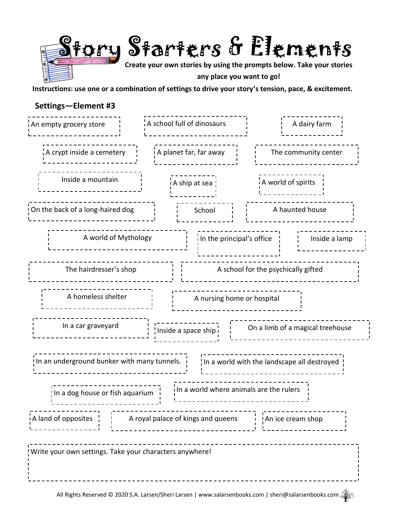

**Instructions: use one or a combination of settings to drive your story's tension, pace, & excitement.**

## **Settings—Element #3**

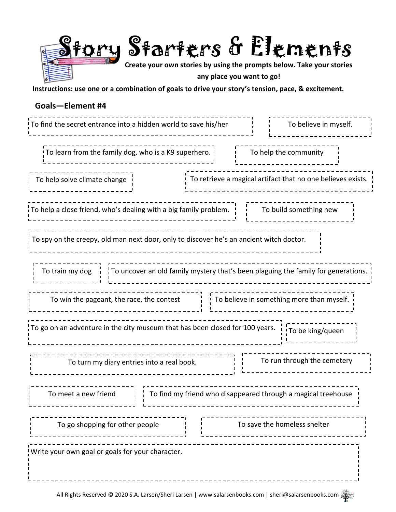

**Instructions: use one or a combination of goals to drive your story's tension, pace, & excitement.**

### **Goals—Element #4**

| To find the secret entrance into a hidden world to save his/her                                                                                  | To believe in myself.                     |  |
|--------------------------------------------------------------------------------------------------------------------------------------------------|-------------------------------------------|--|
| To learn from the family dog, who is a K9 superhero.                                                                                             | To help the community                     |  |
| To retrieve a magical artifact that no one believes exists.<br>To help solve climate change                                                      |                                           |  |
| To help a close friend, who's dealing with a big family problem. $\frac{1}{1}$ To build something new                                            |                                           |  |
| To spy on the creepy, old man next door, only to discover he's an ancient witch doctor.                                                          |                                           |  |
| To train my dog $\begin{pmatrix} 1 & 1 \\ 1 & 1 \end{pmatrix}$ To uncover an old family mystery that's been plaguing the family for generations. |                                           |  |
| To win the pageant, the race, the contest $\vert$                                                                                                | To believe in something more than myself. |  |
| To go on an adventure in the city museum that has been closed for 100 years. [1] To be king/queen                                                |                                           |  |
| To turn my diary entries into a real book.                                                                                                       | To run through the cemetery               |  |
| To find my friend who disappeared through a magical treehouse<br>To meet a new friend                                                            |                                           |  |
| To go shopping for other people                                                                                                                  | To save the homeless shelter              |  |
| Write your own goal or goals for your character.                                                                                                 |                                           |  |
|                                                                                                                                                  |                                           |  |